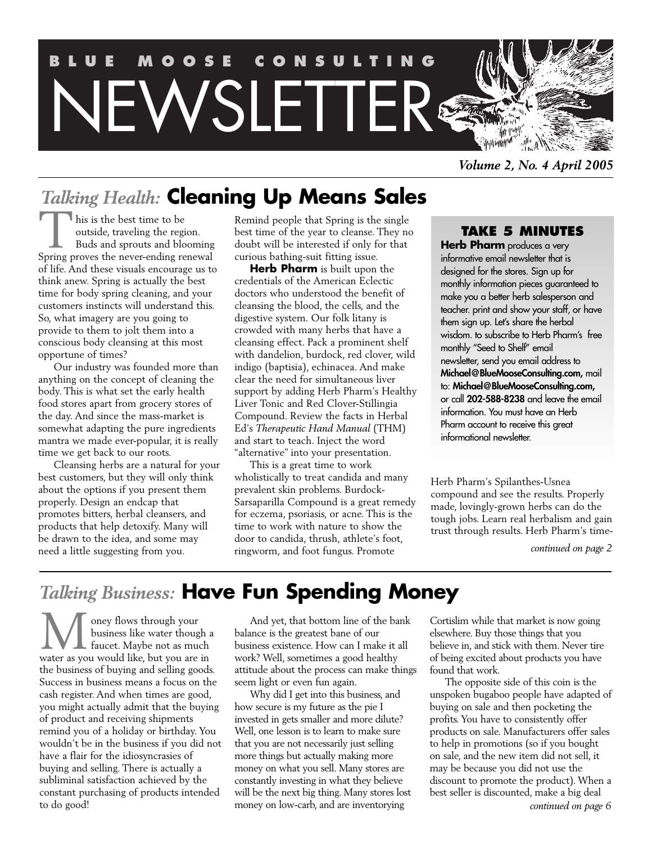

*Volume 2, No. 4 April 2005*

# *Talking Health:* **Cleaning Up Means Sales**

his is the best time to be outside, traveling the region. Buds and sprouts and blooming This is the best time to be<br>
outside, traveling the region.<br>
Buds and sprouts and blooming<br>
Spring proves the never-ending renewal of life. And these visuals encourage us to think anew. Spring is actually the best time for body spring cleaning, and your customers instincts will understand this. So, what imagery are you going to provide to them to jolt them into a conscious body cleansing at this most opportune of times?

Our industry was founded more than anything on the concept of cleaning the body. This is what set the early health food stores apart from grocery stores of the day. And since the mass-market is somewhat adapting the pure ingredients mantra we made ever-popular, it is really time we get back to our roots.

Cleansing herbs are a natural for your best customers, but they will only think about the options if you present them properly. Design an endcap that promotes bitters, herbal cleansers, and products that help detoxify. Many will be drawn to the idea, and some may need a little suggesting from you.

Remind people that Spring is the single best time of the year to cleanse. They no doubt will be interested if only for that curious bathing-suit fitting issue.

**Herb Pharm** is built upon the credentials of the American Eclectic doctors who understood the benefit of cleansing the blood, the cells, and the digestive system. Our folk litany is crowded with many herbs that have a cleansing effect. Pack a prominent shelf with dandelion, burdock, red clover, wild indigo (baptisia), echinacea. And make clear the need for simultaneous liver support by adding Herb Pharm's Healthy Liver Tonic and Red Clover-Stillingia Compound. Review the facts in Herbal Ed's *Therapeutic Hand Manual* (THM) and start to teach. Inject the word "alternative" into your presentation.

This is a great time to work wholistically to treat candida and many prevalent skin problems. Burdock-Sarsaparilla Compound is a great remedy for eczema, psoriasis, or acne. This is the time to work with nature to show the door to candida, thrush, athlete's foot, ringworm, and foot fungus. Promote

## **TAKE 5 MINUTES**

**Herb Pharm** produces a very informative email newsletter that is designed for the stores. Sign up for monthly information pieces guaranteed to make you a better herb salesperson and teacher. print and show your staff, or have them sign up. Let's share the herbal wisdom. to subscribe to Herb Pharm's free monthly "Seed to Shelf" email newsletter, send you email address to **Michael@BlueMooseConsulting.com,** mail to: **Michael@BlueMooseConsulting.com,** or call **202-588-8238** and leave the email information. You must have an Herb Pharm account to receive this great informational newsletter.

Herb Pharm's Spilanthes-Usnea compound and see the results. Properly made, lovingly-grown herbs can do the tough jobs. Learn real herbalism and gain trust through results. Herb Pharm's time-

*continued on page 2*

## *Talking Business:* **Have Fun Spending Money**

oney flows through your business like water though a faucet. Maybe not as much We oney flows through your<br>business like water though<br>water as you would like, but you are in the business of buying and selling goods. Success in business means a focus on the cash register. And when times are good, you might actually admit that the buying of product and receiving shipments remind you of a holiday or birthday. You wouldn't be in the business if you did not have a flair for the idiosyncrasies of buying and selling. There is actually a subliminal satisfaction achieved by the constant purchasing of products intended to do good!

And yet, that bottom line of the bank balance is the greatest bane of our business existence. How can I make it all work? Well, sometimes a good healthy attitude about the process can make things seem light or even fun again.

Why did I get into this business, and how secure is my future as the pie I invested in gets smaller and more dilute? Well, one lesson is to learn to make sure that you are not necessarily just selling more things but actually making more money on what you sell. Many stores are constantly investing in what they believe will be the next big thing. Many stores lost money on low-carb, and are inventorying

Cortislim while that market is now going elsewhere. Buy those things that you believe in, and stick with them. Never tire of being excited about products you have found that work.

The opposite side of this coin is the unspoken bugaboo people have adapted of buying on sale and then pocketing the profits. You have to consistently offer products on sale. Manufacturers offer sales to help in promotions (so if you bought on sale, and the new item did not sell, it may be because you did not use the discount to promote the product). When a best seller is discounted, make a big deal *continued on page 6*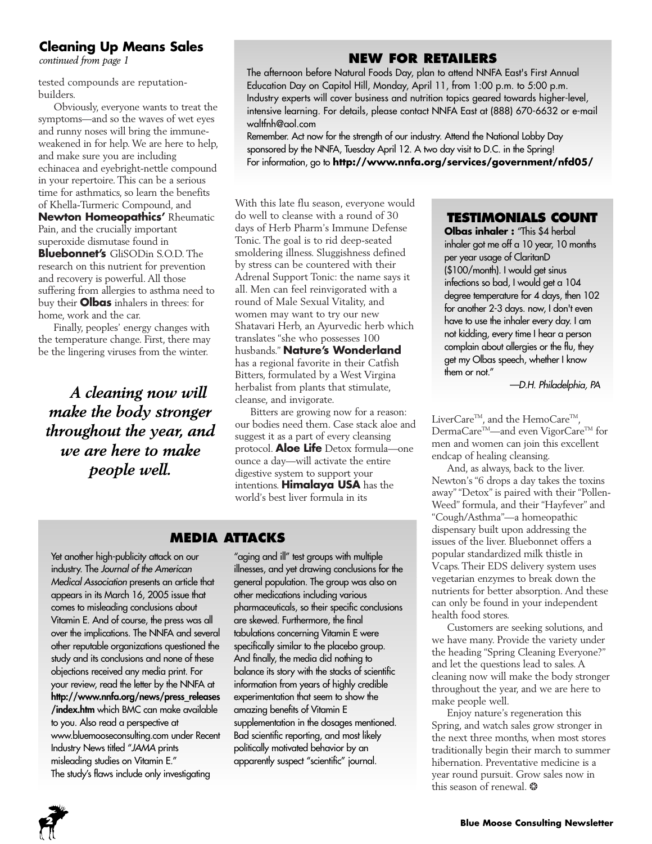## **Cleaning Up Means Sales**

*continued from page 1*

tested compounds are reputationbuilders.

Obviously, everyone wants to treat the symptoms—and so the waves of wet eyes and runny noses will bring the immuneweakened in for help.We are here to help, and make sure you are including echinacea and eyebright-nettle compound in your repertoire. This can be a serious time for asthmatics, so learn the benefits of Khella-Turmeric Compound, and **Newton Homeopathics'** Rheumatic Pain, and the crucially important superoxide dismutase found in **Bluebonnet's** GliSODin S.O.D. The research on this nutrient for prevention and recovery is powerful. All those suffering from allergies to asthma need to buy their **Olbas** inhalers in threes: for home, work and the car.

Finally, peoples' energy changes with the temperature change. First, there may be the lingering viruses from the winter.

*A cleaning now will make the body stronger throughout the year, and we are here to make people well.*

## **NEW FOR RETAILERS**

The afternoon before Natural Foods Day, plan to attend NNFA East's First Annual Education Day on Capitol Hill, Monday, April 11, from 1:00 p.m. to 5:00 p.m. Industry experts will cover business and nutrition topics geared towards higher-level, intensive learning. For details, please contact NNFA East at (888) 670-6632 or e-mail waltfnh@aol.com

Remember. Act now for the strength of our industry. Attend the National Lobby Day sponsored by the NNFA, Tuesday April 12. A two day visit to D.C. in the Spring! For information, go to **http://www.nnfa.org/services/government/nfd05/**

With this late flu season, everyone would do well to cleanse with a round of 30 days of Herb Pharm's Immune Defense Tonic. The goal is to rid deep-seated smoldering illness. Sluggishness defined by stress can be countered with their Adrenal Support Tonic: the name says it all. Men can feel reinvigorated with a round of Male Sexual Vitality, and women may want to try our new Shatavari Herb, an Ayurvedic herb which translates "she who possesses 100 husbands." **Nature's Wonderland** has a regional favorite in their Catfish Bitters, formulated by a West Virgina herbalist from plants that stimulate, cleanse, and invigorate.

Bitters are growing now for a reason: our bodies need them. Case stack aloe and suggest it as a part of every cleansing protocol. **Aloe Life** Detox formula—one ounce a day—will activate the entire digestive system to support your intentions. **Himalaya USA** has the world's best liver formula in its

## **MEDIA ATTACKS**

Yet another high-publicity attack on our industry. The Journal of the American Medical Association presents an article that appears in its March 16, 2005 issue that comes to misleading conclusions about Vitamin E. And of course, the press was all over the implications. The NNFA and several other reputable organizations questioned the study and its conclusions and none of these objections received any media print. For your review, read the letter by the NNFA at **http://www.nnfa.org/news/press\_releases /index.htm** which BMC can make available to you. Also read a perspective at www.bluemooseconsulting.com under Recent Industry News titled "JAMA prints misleading studies on Vitamin E." The study's flaws include only investigating

"aging and ill" test groups with multiple illnesses, and yet drawing conclusions for the general population. The group was also on other medications including various pharmaceuticals, so their specific conclusions are skewed. Furthermore, the final tabulations concerning Vitamin E were specifically similar to the placebo group. And finally, the media did nothing to balance its story with the stacks of scientific information from years of highly credible experimentation that seem to show the amazing benefits of Vitamin E supplementation in the dosages mentioned. Bad scientific reporting, and most likely politically motivated behavior by an apparently suspect "scientific" journal.

## **TESTIMONIALS COUNT**

**Olbas inhaler :** "This \$4 herbal inhaler got me off a 10 year, 10 months per year usage of ClaritanD (\$100/month). I would get sinus infections so bad, I would get a 104 degree temperature for 4 days, then 102 for another 2-3 days. now, I don't even have to use the inhaler every day. I am not kidding, every time I hear a person complain about allergies or the flu, they get my Olbas speech, whether I know them or not."

—D.H. Philadelphia, PA

LiverCare<sup>TM</sup>, and the HemoCare<sup>TM</sup>, DermaCare<sup>™</sup>—and even VigorCare<sup>™</sup> for men and women can join this excellent endcap of healing cleansing.

And, as always, back to the liver. Newton's "6 drops a day takes the toxins away""Detox" is paired with their "Pollen-Weed" formula, and their "Hayfever" and "Cough/Asthma"—a homeopathic dispensary built upon addressing the issues of the liver. Bluebonnet offers a popular standardized milk thistle in Vcaps.Their EDS delivery system uses vegetarian enzymes to break down the nutrients for better absorption. And these can only be found in your independent health food stores.

Customers are seeking solutions, and we have many. Provide the variety under the heading "Spring Cleaning Everyone?" and let the questions lead to sales. A cleaning now will make the body stronger throughout the year, and we are here to make people well.

Enjoy nature's regeneration this Spring, and watch sales grow stronger in the next three months, when most stores traditionally begin their march to summer hibernation. Preventative medicine is a year round pursuit. Grow sales now in this season of renewal. \*

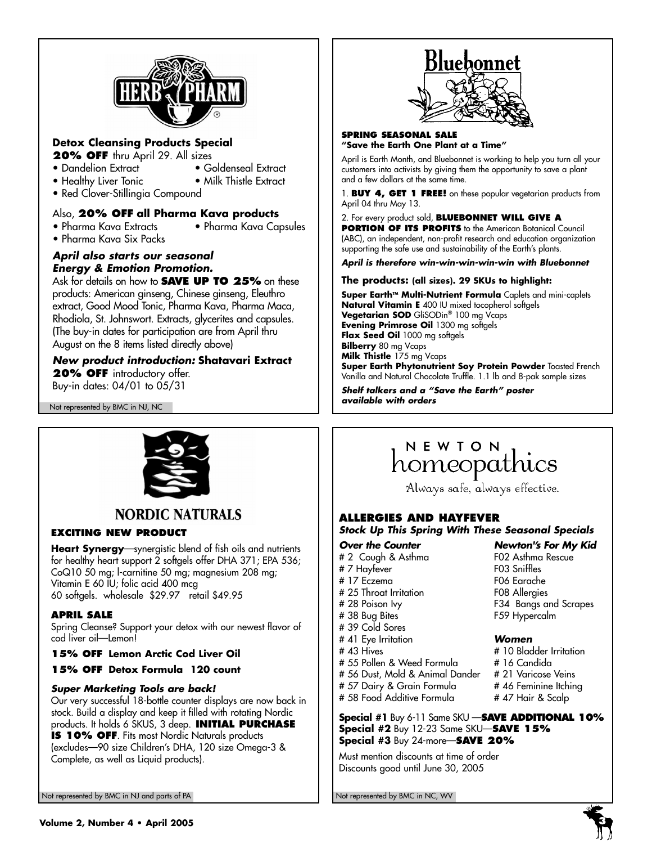

## **Detox Cleansing Products Special**

- **20% OFF** thru April 29. All sizes
- Dandelion Extract Goldenseal Extract
- 
- Healthy Liver Tonic Milk Thistle Extract
- Red Clover-Stillingia Compound

## Also, **20% OFF all Pharma Kava products**

• Pharma Kava Extracts • Pharma Kava Capsules

• Pharma Kava Six Packs

## **April also starts our seasonal Energy & Emotion Promotion.**

Ask for details on how to **SAVE UP TO 25%** on these products: American ginseng, Chinese ginseng, Eleuthro extract, Good Mood Tonic, Pharma Kava, Pharma Maca, Rhodiola, St. Johnswort. Extracts, glycerites and capsules. (The buy-in dates for participation are from April thru August on the 8 items listed directly above)

## **New product introduction: Shatavari Extract 20% OFF** introductory offer.

Buy-in dates: 04/01 to 05/31

Not represented by BMC in NJ, NC



## **NORDIC NATURALS**

## **EXCITING NEW PRODUCT**

**Heart Synergy**—synergistic blend of fish oils and nutrients for healthy heart support 2 softgels offer DHA 371; EPA 536; CoQ10 50 mg; l-carnitine 50 mg; magnesium 208 mg; Vitamin E 60 IU; folic acid 400 mcg 60 softgels. wholesale \$29.97 retail \$49.95

## **APRIL SALE**

Spring Cleanse? Support your detox with our newest flavor of cod liver oil—Lemon!

## **15% OFF Lemon Arctic Cod Liver Oil**

**15% OFF Detox Formula 120 count**

## **Super Marketing Tools are back!**

Our very successful 18-bottle counter displays are now back in stock. Build a display and keep it filled with rotating Nordic products. It holds 6 SKUS, 3 deep. **INITIAL PURCHASE**

**IS 10% OFF**. Fits most Nordic Naturals products (excludes—90 size Children's DHA, 120 size Omega-3 & Complete, as well as Liquid products).



### **SPRING SEASONAL SALE "Save the Earth One Plant at a Time"**

April is Earth Month, and Bluebonnet is working to help you turn all your customers into activists by giving them the opportunity to save a plant and a few dollars at the same time.

1. **BUY 4, GET 1 FREE!** on these popular vegetarian products from April 04 thru May 13.

### 2. For every product sold, **BLUEBONNET WILL GIVE A PORTION OF ITS PROFITS** to the American Botanical Council (ABC), an independent, non-profit research and education organization supporting the safe use and sustainability of the Earth's plants.

**April is therefore win-win-win-win-win with Bluebonnet**

## **The products: (all sizes). 29 SKUs to highlight:**

Super Earth<sup>M</sup> Multi-Nutrient Formula Caplets and mini-caplets **Natural Vitamin E** 400 IU mixed tocopherol softgels **Vegetarian SOD** GliSODin® 100 mg Vcaps **Evening Primrose Oil** 1300 mg softgels **Flax Seed Oil** 1000 mg softgels **Bilberry** 80 mg Vcaps **Milk Thistle** 175 mg Vcaps **Super Earth Phytonutrient Soy Protein Powder** Toasted French

Vanilla and Natural Chocolate Truffle. 1.1 lb and 8-pak sample sizes **Shelf talkers and a "Save the Earth" poster** 

**available with orders**

# NEWION<br>homeopathics

Always safe, always effective.

## **ALLERGIES AND HAYFEVER**

**Stock Up This Spring With These Seasonal Specials**

- 
- # 2 Cough & Asthma F02 Asthma Rescue # 7 Hayfever F03 Sniffles # 17 Eczema # 25 Throat Irritation F08 Allergies # 38 Bug Bites F59 Hypercalm # 39 Cold Sores # 41 Eye Irritation **Women**
	-
- # 55 Pollen & Weed Formula # 16 Candida # 56 Dust, Mold & Animal Dander
- # 57 Dairy & Grain Formula # 46 Feminine Itching
- # 58 Food Additive Formula # 47 Hair & Scalp
- **Special #1** Buy 6-11 Same SKU —**SAVE ADDITIONAL 10% Special #2** Buy 12-23 Same SKU—**SAVE 15% Special #3** Buy 24-more—**SAVE 20%**

Must mention discounts at time of order Discounts good until June 30, 2005

**Over the Counter Newton''s For My Kid**<br>
# 2 Cough & Asthma **FO2** Asthma Rescue # 28 Poison Ivy F34 Bangs and Scrapes

- # 10 Bladder Irritation<br># 16 Candida
- 
- 
- 
- 

Not represented by BMC in NJ and parts of PA Not represented by BMC in NC, WV Not represented by BMC in NC, WV



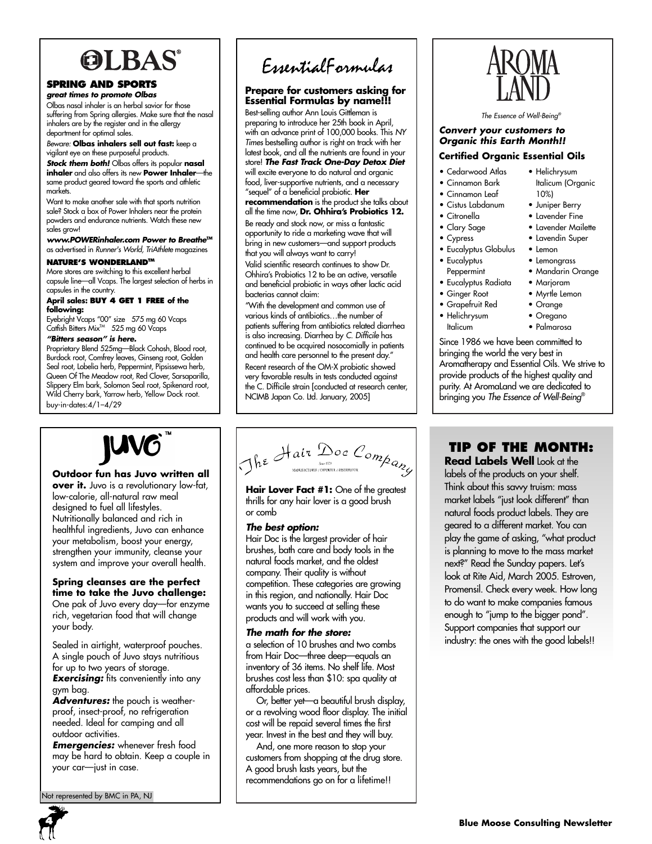# **OLBAS**

## **SPRING AND SPORTS**

**great times to promote Olbas** Olbas nasal inhaler is an herbal savior for those suffering from Spring allergies. Make sure that the nasal inhalers are by the register and in the allergy department for optimal sales.

Beware: **Olbas inhalers sell out fast:** keep a vigilant eye on these purposeful products.

**Stock them both!** Olbas offers its popular **nasal inhaler** and also offers its new **Power Inhaler**—the same product geared toward the sports and athletic markets.

Want to make another sale with that sports nutrition sale? Stock a box of Power Inhalers near the protein powders and endurance nutrients. Watch these new sales grow!

**www.POWERinhaler.com Power to Breathe™** as advertised in Runner's World, TriAthlete magazines

## **NATURE'S WONDERLANDTM**

More stores are switching to this excellent herbal capsule line—all Vcaps. The largest selection of herbs in capsules in the country.

### **April sales: BUY 4 GET 1 FREE of the following:**

Eyebright Vcaps "00" size 575 mg 60 Vcaps<br>Catfish Bitters Mix™ 525 mg 60 Vcaps

### **"Bitters season" is here.**

Proprietary Blend 525mg—Black Cohosh, Blood root, Burdock root, Comfrey leaves, Ginseng root, Golden Seal root, Lobelia herb, Peppermint, Pipsissewa herb, Queen Of The Meadow root, Red Clover, Sarsaparilla, Slippery Elm bark, Solomon Seal root, Spikenard root, Wild Cherry bark, Yarrow herb, Yellow Dock root. buy-in-dates:4/1–4/29

# EssentialFormulas

## **Prepare for customers asking for Essential Formulas by name!!!**

Best-selling author Ann Louis Gittleman is preparing to introduce her 25th book in April, with an advance print of 100,000 books. This NY Times bestselling author is right on track with her latest book, and all the nutrients are found in your store! **The Fast Track One-Day Detox Diet** will excite everyone to do natural and organic food, liver-supportive nutrients, and a necessary "sequel" of a beneficial probiotic. **Her**

**recommendation** is the product she talks about all the time now, **Dr. Ohhira's Probiotics 12.** Be ready and stock now, or miss a fantastic opportunity to ride a marketing wave that will bring in new customers—and support products

that you will always want to carry!

Valid scientific research continues to show Dr. Ohhira's Probiotics 12 to be an active, versatile and beneficial probiotic in ways other lactic acid bacterias cannot claim:

"With the development and common use of various kinds of antibiotics…the number of patients suffering from antibiotics related diarrhea is also increasing. Diarrhea by C. Difficile has continued to be acquired nosocomially in patients and health care personnel to the present day." Recent research of the OM-X probiotic showed very favorable results in tests conducted against the C. Difficile strain [conducted at research center, NCIMB Japan Co. Ltd. January, 2005]

The Essence of Well-Being®

## **Convert your customers to Organic this Earth Month!! Certified Organic Essential Oils**

- Cedarwood Atlas
- Cinnamon Bark
- Cinnamon Leaf
- Cistus Labdanum
- Citronella
- Clary Sage
- Cypress
- Eucalyptus Globulus
- Eucalyptus
- Peppermint
- Eucalyptus Radiata
- Ginger Root
- Grapefruit Red • Helichrysum

Italicum

• Orange • Oregano

• Helichrysum Italicum (Organic

10%) • Juniper Berry • Lavender Fine • Lavender Mailette • Lavendin Super • Lemon • Lemongrass • Mandarin Orange • Marjoram • Myrtle Lemon

• Palmarosa

Since 1986 we have been committed to bringing the world the very best in Aromatherapy and Essential Oils. We strive to provide products of the highest quality and purity. At AromaLand we are dedicated to bringing you The Essence of Well-Being®

# **JUVG**

## **Outdoor fun has Juvo written all**

**over it.** Juvo is a revolutionary low-fat, low-calorie, all-natural raw meal designed to fuel all lifestyles. Nutritionally balanced and rich in healthful ingredients, Juvo can enhance your metabolism, boost your energy, strengthen your immunity, cleanse your system and improve your overall health.

## **Spring cleanses are the perfect**

**time to take the Juvo challenge:** One pak of Juvo every day—for enzyme rich, vegetarian food that will change your body.

Sealed in airtight, waterproof pouches. A single pouch of Juvo stays nutritious for up to two years of storage.

**Exercising:** fits conveniently into any gym bag.

Adventures: the pouch is weatherproof, insect-proof, no refrigeration needed. Ideal for camping and all outdoor activities.

**Emergencies:** whenever fresh food may be hard to obtain. Keep a couple in your car—just in case.

Not represented by BMC in PA, NJ

The Hair Doc Company

**Hair Lover Fact #1:** One of the greatest thrills for any hair lover is a good brush or comb

## **The best option:**

Hair Doc is the largest provider of hair brushes, bath care and body tools in the natural foods market, and the oldest company. Their quality is without competition. These categories are growing in this region, and nationally. Hair Doc wants you to succeed at selling these products and will work with you.

## **The math for the store:**

a selection of 10 brushes and two combs from Hair Doc—three deep—equals an inventory of 36 items. No shelf life. Most brushes cost less than \$10: spa quality at affordable prices.

Or, better yet—a beautiful brush display, or a revolving wood floor display. The initial cost will be repaid several times the first year. Invest in the best and they will buy.

And, one more reason to stop your customers from shopping at the drug store. A good brush lasts years, but the recommendations go on for a lifetime!!

# **TIP OF THE MONTH:**

**Read Labels Well** Look at the labels of the products on your shelf. Think about this savvy truism: mass market labels "just look different" than natural foods product labels. They are geared to a different market. You can play the game of asking, "what product is planning to move to the mass market next?" Read the Sunday papers. Let's look at Rite Aid, March 2005. Estroven, Promensil. Check every week. How long to do want to make companies famous enough to "jump to the bigger pond". Support companies that support our industry: the ones with the good labels!!

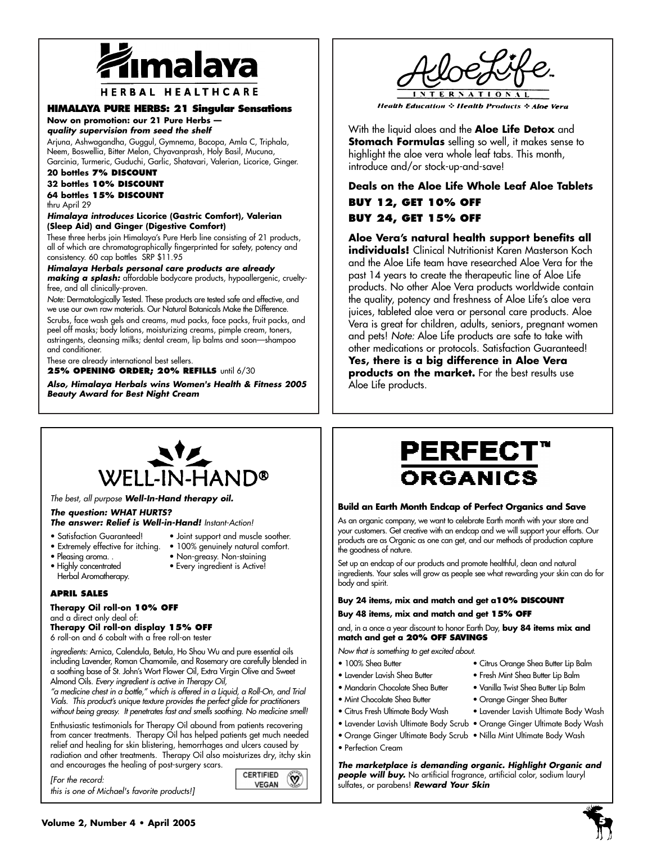

### **HERBAL HEALTHCARE**

## **HIMALAYA PURE HERBS: 21 Singular Sensations**

### **Now on promotion: our 21 Pure Herbs quality supervision from seed the shelf**

Arjuna, Ashwagandha, Guggul, Gymnema, Bacopa, Amla C, Triphala, Neem, Boswellia, Bitter Melon, Chyavanprash, Holy Basil, Mucuna, Garcinia, Turmeric, Guduchi, Garlic, Shatavari, Valerian, Licorice, Ginger.

## **20 bottles 7% DISCOUNT**

**32 bottles 10% DISCOUNT 64 bottles 15% DISCOUNT** thru April 29

### **Himalaya introduces Licorice (Gastric Comfort), Valerian (Sleep Aid) and Ginger (Digestive Comfort)**

These three herbs join Himalaya's Pure Herb line consisting of 21 products, all of which are chromatographically fingerprinted for safety, potency and consistency. 60 cap bottles SRP \$11.95

**Himalaya Herbals personal care products are already making a splash:** affordable bodycare products, hypoallergenic, crueltyfree, and all clinically-proven.

Note: Dermatologically Tested. These products are tested safe and effective, and we use our own raw materials. Our Natural Botanicals Make the Difference.

Scrubs, face wash gels and creams, mud packs, face packs, fruit packs, and peel off masks; body lotions, moisturizing creams, pimple cream, toners, astringents, cleansing milks; dental cream, lip balms and soon—shampoo and conditioner.

These are already international best sellers.

**25% OPENING ORDER; 20% REFILLS** until 6/30

**Also, Himalaya Herbals wins Women's Health & Fitness 2005 Beauty Award for Best Night Cream**



**Health Education**  $\Diamond$  **Health Products**  $\Diamond$  **Aloe Vera** 

With the liquid aloes and the **Aloe Life Detox** and **Stomach Formulas** selling so well, it makes sense to highlight the aloe vera whole leaf tabs. This month, introduce and/or stock-up-and-save!

## **Deals on the Aloe Life Whole Leaf Aloe Tablets BUY 12, GET 10% OFF BUY 24, GET 15% OFF**

**Aloe Vera's natural health support benefits all individuals!** Clinical Nutritionist Karen Masterson Koch and the Aloe Life team have researched Aloe Vera for the past 14 years to create the therapeutic line of Aloe Life products. No other Aloe Vera products worldwide contain the quality, potency and freshness of Aloe Life's aloe vera juices, tableted aloe vera or personal care products. Aloe Vera is great for children, adults, seniors, pregnant women and pets! Note: Aloe Life products are safe to take with other medications or protocols. Satisfaction Guaranteed!

**Yes, there is a big difference in Aloe Vera** products on the market. For the best results use Aloe Life products.



The best, all purpose **Well-In-Hand therapy oil.**

### **The question: WHAT HURTS?**

## **The answer: Relief is Well-in-Hand!** Instant-Action!

- Satisfaction Guaranteed! Joint support and muscle soother.
- Extremely effective for itching. 100% genuinely natural comfort.
	-
- Herbal Aromatherapy.
- Pleasing aroma. . Non-greasy. Non-staining • Every ingredient is Active!

## **APRIL SALES**

### **Therapy Oil roll-on 10% OFF** and a direct only deal of:

**Therapy Oil roll-on display 15% OFF** 6 roll-on and 6 cobalt with a free roll-on tester

ingredients: Arnica, Calendula, Betula, Ho Shou Wu and pure essential oils including Lavender, Roman Chamomile, and Rosemary are carefully blended in a soothing base of St. John's Wort Flower Oil, Extra Virgin Olive and Sweet Almond Oils. Every ingredient is active in Therapy Oil,

"a medicine chest in a bottle," which is offered in a Liquid, a Roll-On, and Trial Vials. This product's unique texture provides the perfect glide for practitioners without being greasy. It penetrates fast and smells soothing. No medicine smell!

Enthusiastic testimonials for Therapy Oil abound from patients recovering from cancer treatments. Therapy Oil has helped patients get much needed relief and healing for skin blistering, hemorrhages and ulcers caused by radiation and other treatments. Therapy Oil also moisturizes dry, itchy skin and encourages the healing of post-surgery scars.

[For the record: this is one of Michael's favorite products!]

### **CERTIFIED**  $\infty$ **VEGAN**

# **PERFECT" ORGANICS**

## **Build an Earth Month Endcap of Perfect Organics and Save**

As an organic company, we want to celebrate Earth month with your store and your customers. Get creative with an endcap and we will support your efforts. Our products are as Organic as one can get, and our methods of production capture the goodness of nature.

Set up an endcap of our products and promote healthful, clean and natural ingredients. Your sales will grow as people see what rewarding your skin can do for body and spirit.

## **Buy 24 items, mix and match and get a10% DISCOUNT Buy 48 items, mix and match and get 15% OFF**

and, in a once a year discount to honor Earth Day, **buy 84 items mix and match and get a 20% OFF SAVINGS**

Now that is something to get excited about.

- 
- Lavender Lavish Shea Butter Fresh Mint Shea Butter Lip Balm
- 100% Shea Butter Citrus Orange Shea Butter Lip Balm
	-
- Mandarin Chocolate Shea Butter Vanilla Twist Shea Butter Lip Balm
- Mint Chocolate Shea Butter Orange Ginger Shea Butter
- Citrus Fresh Ultimate Body Wash Lavender Lavish Ultimate Body Wash
- Lavender Lavish Ultimate Body Scrub Orange Ginger Ultimate Body Wash
- Orange Ginger Ultimate Body Scrub Nilla Mint Ultimate Body Wash
- Perfection Cream

**The marketplace is demanding organic. Highlight Organic and people will buy.** No artificial fragrance, artificial color, sodium lauryl sulfates, or parabens! **Reward Your Skin**